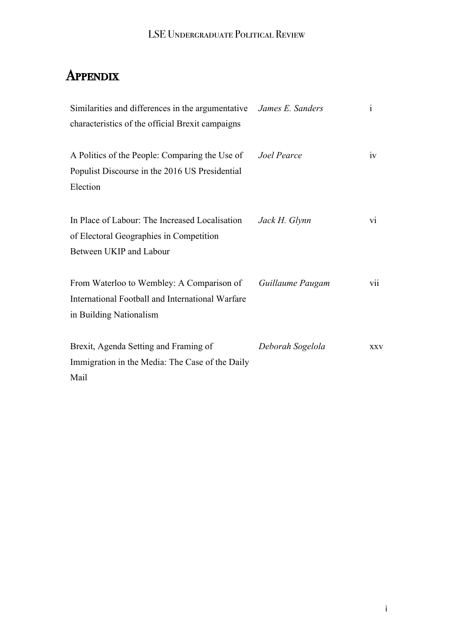# **APPENDIX**

| Similarities and differences in the argumentative <i>James E. Sanders</i> |                  | $\mathbf{i}$    |
|---------------------------------------------------------------------------|------------------|-----------------|
| characteristics of the official Brexit campaigns                          |                  |                 |
| A Politics of the People: Comparing the Use of                            | Joel Pearce      | iv              |
| Populist Discourse in the 2016 US Presidential                            |                  |                 |
| Election                                                                  |                  |                 |
| In Place of Labour: The Increased Localisation                            | Jack H. Glynn    | $\overline{vi}$ |
| of Electoral Geographies in Competition                                   |                  |                 |
| Between UKIP and Labour                                                   |                  |                 |
| From Waterloo to Wembley: A Comparison of                                 | Guillaume Paugam | vii             |
| International Football and International Warfare                          |                  |                 |
| in Building Nationalism                                                   |                  |                 |
| Brexit, Agenda Setting and Framing of                                     | Deborah Sogelola | <b>XXV</b>      |
| Immigration in the Media: The Case of the Daily                           |                  |                 |
| Mail                                                                      |                  |                 |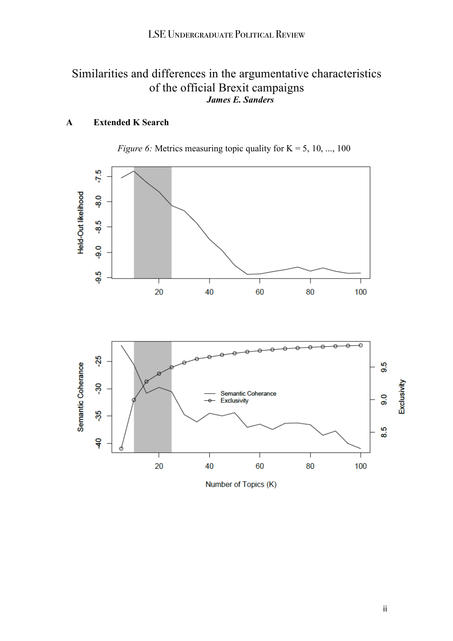## Similarities and differences in the argumentative characteristics of the official Brexit campaigns *James E. Sanders*

## **A Extended K Search**





ii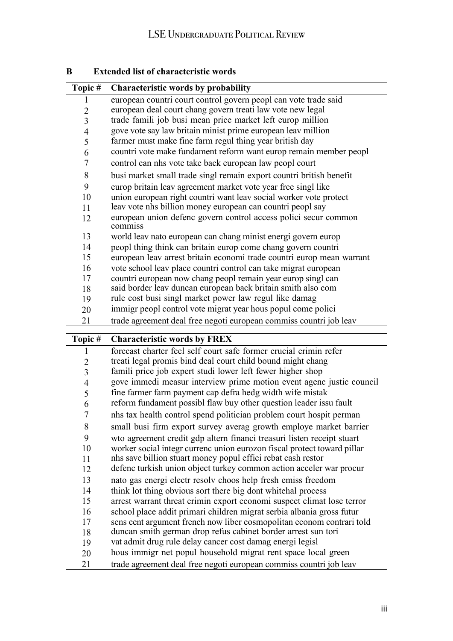| Topic#         | <b>Characteristic words by probability</b>                                                                                             |
|----------------|----------------------------------------------------------------------------------------------------------------------------------------|
| 1              | european countri court control govern peopl can vote trade said                                                                        |
| $\overline{2}$ | european deal court chang govern treati law vote new legal                                                                             |
| 3              | trade famili job busi mean price market left europ million                                                                             |
| 4              | gove vote say law britain minist prime european leav million                                                                           |
| 5              | farmer must make fine farm regul thing year british day                                                                                |
| 6              | countri vote make fundament reform want europ remain member peopl                                                                      |
| 7              | control can nhs vote take back european law peopl court                                                                                |
| 8              | busi market small trade singl remain export countri british benefit                                                                    |
| 9              | europ britain leav agreement market vote year free singl like                                                                          |
| 10             | union european right countri want leav social worker vote protect                                                                      |
| 11             | leav vote nhs billion money european can countri peopl say                                                                             |
| 12             | european union defenc govern control access polici secur common<br>commiss                                                             |
| 13             | world leav nato european can chang minist energi govern europ                                                                          |
| 14             | peopl thing think can britain europ come chang govern countri                                                                          |
| 15             | european leav arrest britain economi trade countri europ mean warrant                                                                  |
| 16             | vote school leav place countri control can take migrat european                                                                        |
| 17             | countri european now chang peopl remain year europ singl can                                                                           |
| 18             | said border leav duncan european back britain smith also com                                                                           |
| 19             | rule cost busi singl market power law regul like damag                                                                                 |
| 20             | immigr peopl control vote migrat year hous popul come polici                                                                           |
| 21             | trade agreement deal free negoti european commiss countri job leav                                                                     |
|                |                                                                                                                                        |
| Topic#         | <b>Characteristic words by FREX</b>                                                                                                    |
| 1              | forecast charter feel self court safe former crucial crimin refer                                                                      |
| $\overline{2}$ | treati legal promis bind deal court child bound might chang                                                                            |
| $\overline{3}$ | famili price job expert studi lower left fewer higher shop                                                                             |
| $\overline{4}$ | gove immedi measur interview prime motion event agenc justic council                                                                   |
| 5              | fine farmer farm payment cap defra hedg width wife mistak                                                                              |
| 6              | reform fundament possibl flaw buy other question leader issu fault                                                                     |
| 7              | nhs tax health control spend politician problem court hospit perman                                                                    |
| 8              | small busi firm export survey averag growth employe market barrier                                                                     |
| 9              | wto agreement credit gdp altern financi treasuri listen receipt stuart                                                                 |
| 10             | worker social integr currenc union eurozon fiscal protect toward pillar                                                                |
| 11             | nhs save billion stuart money popul effici rebat cash restor                                                                           |
| 12             | defenc turkish union object turkey common action acceler war procur                                                                    |
| 13             | nato gas energi electr resolv choos help fresh emiss freedom                                                                           |
| 14             |                                                                                                                                        |
| 15             | think lot thing obvious sort there big dont whitehal process<br>arrest warrant threat crimin export economi suspect climat lose terror |
| 16             | school place addit primari children migrat serbia albania gross futur                                                                  |
| 17             | sens cent argument french now liber cosmopolitan econom contrari told                                                                  |
| 18             | duncan smith german drop refus cabinet border arrest sun tori                                                                          |
| 19             | vat admit drug rule delay cancer cost damag energi legisl                                                                              |
| 20             | hous immigr net popul household migrat rent space local green                                                                          |

## **B Extended list of characteristic words**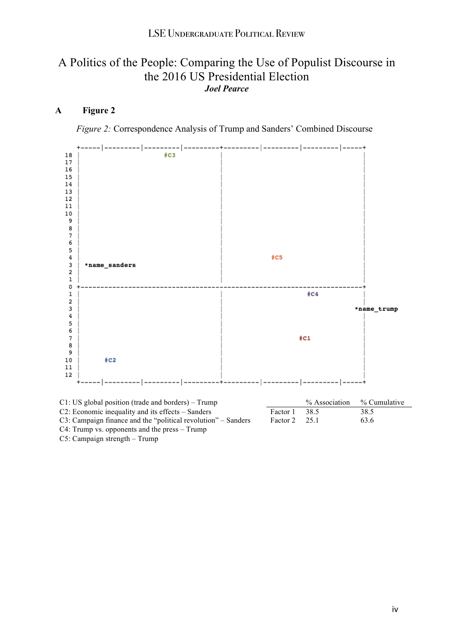## A Politics of the People: Comparing the Use of Populist Discourse in the 2016 US Presidential Election *Joel Pearce*

#### **A Figure 2**

*Figure 2:* Correspondence Analysis of Trump and Sanders' Combined Discourse



| $C1$ : US global position (trade and borders) – Trump         |                        | % Association | % Cumulative |
|---------------------------------------------------------------|------------------------|---------------|--------------|
| C2: Economic inequality and its effects – Sanders             | Factor 1 38.5          |               | 38.5         |
| C3: Campaign finance and the "political revolution" – Sanders | Factor $2 \times 25.1$ |               | 63.6         |
| $C4$ : Trump vs. opponents and the press – Trump              |                        |               |              |

C5: Campaign strength – Trump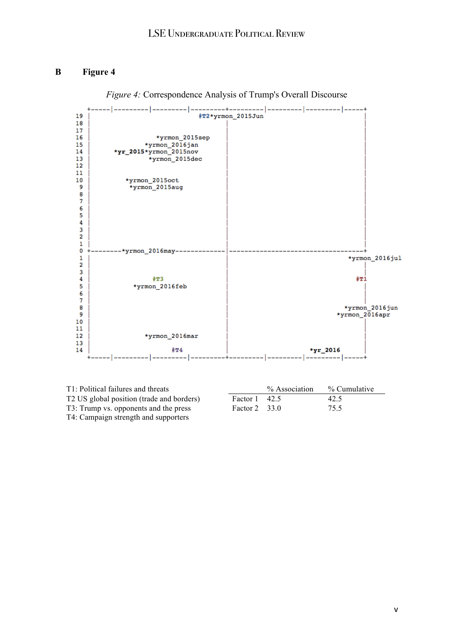#### **B Figure 4**



*Figure 4:* Correspondence Analysis of Trump's Overall Discourse

| T1: Political failures and threats        |                       | % Association | % Cumulative |
|-------------------------------------------|-----------------------|---------------|--------------|
| T2 US global position (trade and borders) | Factor $1 \quad 42.5$ |               | 42.5         |
| T3: Trump vs. opponents and the press     | Factor $2 \quad 33.0$ |               | 75.5         |
| T4: Campaign strength and supporters      |                       |               |              |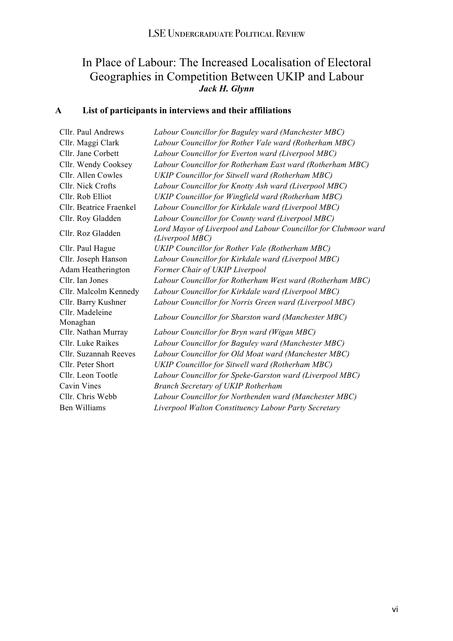## In Place of Labour: The Increased Localisation of Electoral Geographies in Competition Between UKIP and Labour *Jack H. Glynn*

## **A List of participants in interviews and their affiliations**

| Cllr. Paul Andrews          | Labour Councillor for Baguley ward (Manchester MBC)                                |
|-----------------------------|------------------------------------------------------------------------------------|
| Cllr. Maggi Clark           | Labour Councillor for Rother Vale ward (Rotherham MBC)                             |
| Cllr. Jane Corbett          | Labour Councillor for Everton ward (Liverpool MBC)                                 |
| Cllr. Wendy Cooksey         | Labour Councillor for Rotherham East ward (Rotherham MBC)                          |
| Cllr. Allen Cowles          | UKIP Councillor for Sitwell ward (Rotherham MBC)                                   |
| Cllr. Nick Crofts           | Labour Councillor for Knotty Ash ward (Liverpool MBC)                              |
| Cllr. Rob Elliot            | UKIP Councillor for Wingfield ward (Rotherham MBC)                                 |
| Cllr. Beatrice Fraenkel     | Labour Councillor for Kirkdale ward (Liverpool MBC)                                |
| Cllr. Roy Gladden           | Labour Councillor for County ward (Liverpool MBC)                                  |
| Cllr. Roz Gladden           | Lord Mayor of Liverpool and Labour Councillor for Clubmoor ward<br>(Liverpool MBC) |
| Cllr. Paul Hague            | UKIP Councillor for Rother Vale (Rotherham MBC)                                    |
| Cllr. Joseph Hanson         | Labour Councillor for Kirkdale ward (Liverpool MBC)                                |
| Adam Heatherington          | Former Chair of UKIP Liverpool                                                     |
| Cllr. Ian Jones             | Labour Councillor for Rotherham West ward (Rotherham MBC)                          |
| Cllr. Malcolm Kennedy       | Labour Councillor for Kirkdale ward (Liverpool MBC)                                |
| Cllr. Barry Kushner         | Labour Councillor for Norris Green ward (Liverpool MBC)                            |
| Cllr. Madeleine<br>Monaghan | Labour Councillor for Sharston ward (Manchester MBC)                               |
| Cllr. Nathan Murray         | Labour Councillor for Bryn ward (Wigan MBC)                                        |
| Cllr. Luke Raikes           | Labour Councillor for Baguley ward (Manchester MBC)                                |
| Cllr. Suzannah Reeves       | Labour Councillor for Old Moat ward (Manchester MBC)                               |
| Cllr. Peter Short           | <b>UKIP Councillor for Sitwell ward (Rotherham MBC)</b>                            |
| Cllr. Leon Tootle           | Labour Councillor for Speke-Garston ward (Liverpool MBC)                           |
| Cavin Vines                 | <b>Branch Secretary of UKIP Rotherham</b>                                          |
| Cllr. Chris Webb            | Labour Councillor for Northenden ward (Manchester MBC)                             |
| <b>Ben Williams</b>         | Liverpool Walton Constituency Labour Party Secretary                               |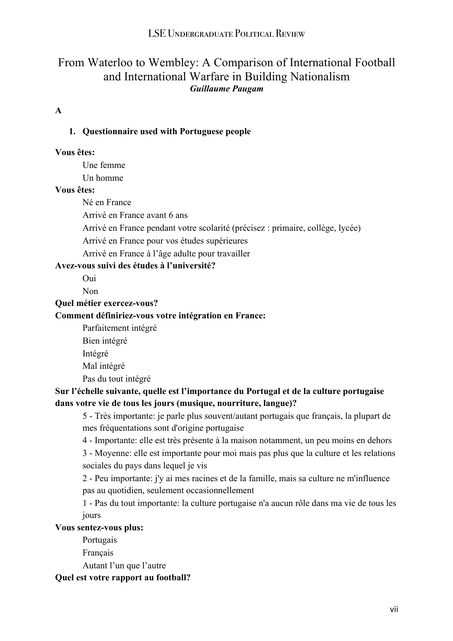## From Waterloo to Wembley: A Comparison of International Football and International Warfare in Building Nationalism *Guillaume Paugam*

#### **A**

#### **1. Questionnaire used with Portuguese people**

#### **Vous êtes:**

Une femme

Un homme

#### **Vous êtes:**

Né en France

Arrivé en France avant 6 ans

Arrivé en France pendant votre scolarité (précisez : primaire, collège, lycée)

Arrivé en France pour vos études supérieures

Arrivé en France à l'âge adulte pour travailler

## **Avez-vous suivi des études à l'université?**

Oui

Non

**Quel métier exercez-vous?**

#### **Comment définiriez-vous votre intégration en France:**

Parfaitement intégré

- Bien intégré
- Intégré

Mal intégré

Pas du tout intégré

#### **Sur l'échelle suivante, quelle est l'importance du Portugal et de la culture portugaise dans votre vie de tous les jours (musique, nourriture, langue)?**

 5 - Très importante: je parle plus souvent/autant portugais que français, la plupart de mes fréquentations sont d'origine portugaise

4 - Importante: elle est très présente à la maison notamment, un peu moins en dehors

 3 - Moyenne: elle est importante pour moi mais pas plus que la culture et les relations sociales du pays dans lequel je vis

 2 - Peu importante: j'y ai mes racines et de la famille, mais sa culture ne m'influence pas au quotidien, seulement occasionnellement

 1 - Pas du tout importante: la culture portugaise n'a aucun rôle dans ma vie de tous les jours

#### **Vous sentez-vous plus:**

Portugais

Français

Autant l'un que l'autre

#### **Quel est votre rapport au football?**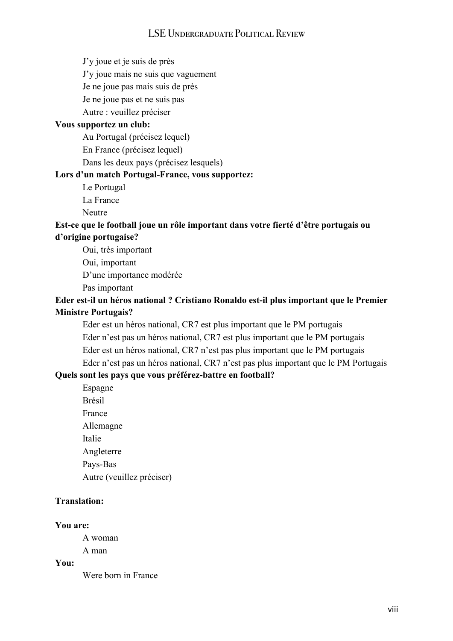J'y joue et je suis de près

J'y joue mais ne suis que vaguement

Je ne joue pas mais suis de près

Je ne joue pas et ne suis pas

Autre : veuillez préciser

#### **Vous supportez un club:**

Au Portugal (précisez lequel)

En France (précisez lequel)

Dans les deux pays (précisez lesquels)

#### **Lors d'un match Portugal-France, vous supportez:**

Le Portugal

La France

Neutre

#### **Est-ce que le football joue un rôle important dans votre fierté d'être portugais ou d'origine portugaise?**

 Oui, très important Oui, important D'une importance modérée Pas important

#### **Eder est-il un héros national ? Cristiano Ronaldo est-il plus important que le Premier Ministre Portugais?**

 Eder est un héros national, CR7 est plus important que le PM portugais Eder n'est pas un héros national, CR7 est plus important que le PM portugais Eder est un héros national, CR7 n'est pas plus important que le PM portugais Eder n'est pas un héros national, CR7 n'est pas plus important que le PM Portugais

#### **Quels sont les pays que vous préférez-battre en football?**

 Espagne Brésil France Allemagne Italie Angleterre Pays-Bas Autre (veuillez préciser)

#### **Translation:**

#### **You are:**

A woman

A man

**You:**

Were born in France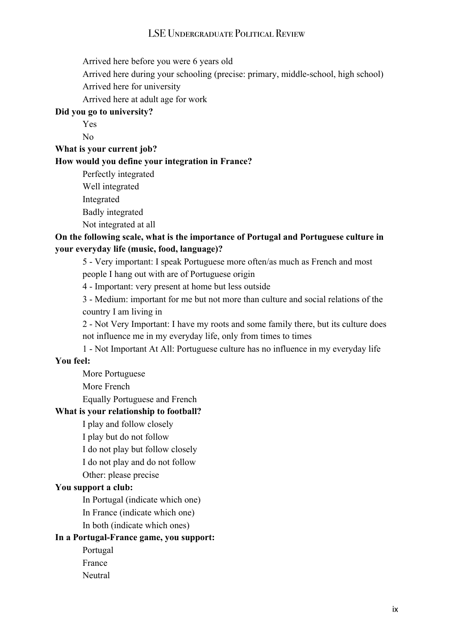Arrived here before you were 6 years old

Arrived here during your schooling (precise: primary, middle-school, high school)

Arrived here for university

Arrived here at adult age for work

#### **Did you go to university?**

 Yes No

**What is your current job?**

#### **How would you define your integration in France?**

Perfectly integrated

Well integrated

Integrated

Badly integrated

Not integrated at all

#### **On the following scale, what is the importance of Portugal and Portuguese culture in your everyday life (music, food, language)?**

 5 - Very important: I speak Portuguese more often/as much as French and most people I hang out with are of Portuguese origin

4 - Important: very present at home but less outside

 3 - Medium: important for me but not more than culture and social relations of the country I am living in

 2 - Not Very Important: I have my roots and some family there, but its culture does not influence me in my everyday life, only from times to times

1 - Not Important At All: Portuguese culture has no influence in my everyday life

#### **You feel:**

More Portuguese

More French

Equally Portuguese and French

#### **What is your relationship to football?**

I play and follow closely

I play but do not follow

I do not play but follow closely

I do not play and do not follow

Other: please precise

#### **You support a club:**

In Portugal (indicate which one)

In France (indicate which one)

In both (indicate which ones)

#### **In a Portugal-France game, you support:**

Portugal

France

Neutral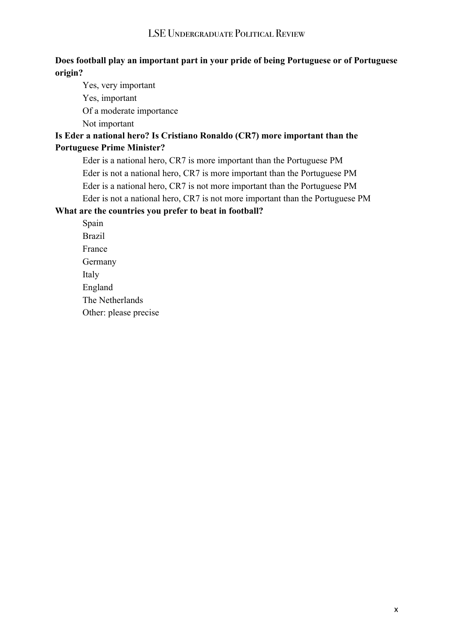#### **Does football play an important part in your pride of being Portuguese or of Portuguese origin?**

 Yes, very important Yes, important Of a moderate importance Not important **Is Eder a national hero? Is Cristiano Ronaldo (CR7) more important than the Portuguese Prime Minister?**

 Eder is a national hero, CR7 is more important than the Portuguese PM Eder is not a national hero, CR7 is more important than the Portuguese PM Eder is a national hero, CR7 is not more important than the Portuguese PM Eder is not a national hero, CR7 is not more important than the Portuguese PM

#### **What are the countries you prefer to beat in football?**

 Spain Brazil France Germany Italy England The Netherlands Other: please precise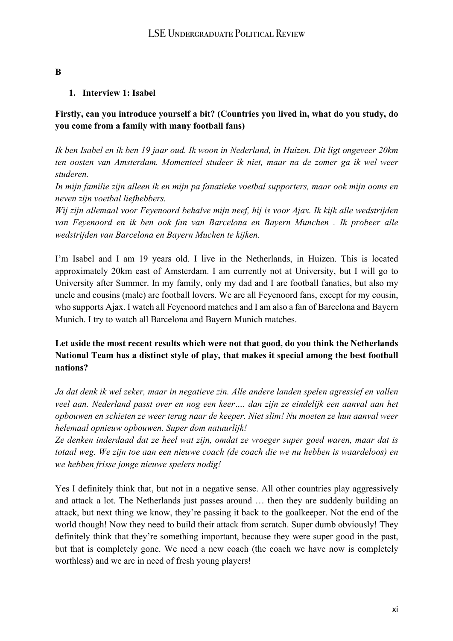#### **B**

#### **1. Interview 1: Isabel**

#### **Firstly, can you introduce yourself a bit? (Countries you lived in, what do you study, do you come from a family with many football fans)**

Ik ben Isabel en ik ben 19 jaar oud. Ik woon in Nederland, in Huizen. Dit ligt ongeveer 20km *ten oosten van Amsterdam. Momenteel studeer ik niet, maar na de zomer ga ik wel weer studeren.*

*In mijn familie zijn alleen ik en mijn pa fanatieke voetbal supporters, maar ook mijn ooms en neven zijn voetbal liefhebbers.*

*Wij zijn allemaal voor Feyenoord behalve mijn neef, hij is voor Ajax. Ik kijk alle wedstrijden van Feyenoord en ik ben ook fan van Barcelona en Bayern Munchen . Ik probeer alle wedstrijden van Barcelona en Bayern Muchen te kijken.*

I'm Isabel and I am 19 years old. I live in the Netherlands, in Huizen. This is located approximately 20km east of Amsterdam. I am currently not at University, but I will go to University after Summer. In my family, only my dad and I are football fanatics, but also my uncle and cousins (male) are football lovers. We are all Feyenoord fans, except for my cousin, who supports Ajax. I watch all Feyenoord matches and I am also a fan of Barcelona and Bayern Munich. I try to watch all Barcelona and Bayern Munich matches.

#### **Let aside the most recent results which were not that good, do you think the Netherlands National Team has a distinct style of play, that makes it special among the best football nations?**

*Ja dat denk ik wel zeker, maar in negatieve zin. Alle andere landen spelen agressief en vallen veel aan. Nederland passt over en nog een keer…. dan zijn ze eindelijk een aanval aan het opbouwen en schieten ze weer terug naar de keeper. Niet slim! Nu moeten ze hun aanval weer helemaal opnieuw opbouwen. Super dom natuurlijk!*

*Ze denken inderdaad dat ze heel wat zijn, omdat ze vroeger super goed waren, maar dat is totaal weg. We zijn toe aan een nieuwe coach (de coach die we nu hebben is waardeloos) en we hebben frisse jonge nieuwe spelers nodig!*

Yes I definitely think that, but not in a negative sense. All other countries play aggressively and attack a lot. The Netherlands just passes around … then they are suddenly building an attack, but next thing we know, they're passing it back to the goalkeeper. Not the end of the world though! Now they need to build their attack from scratch. Super dumb obviously! They definitely think that they're something important, because they were super good in the past, but that is completely gone. We need a new coach (the coach we have now is completely worthless) and we are in need of fresh young players!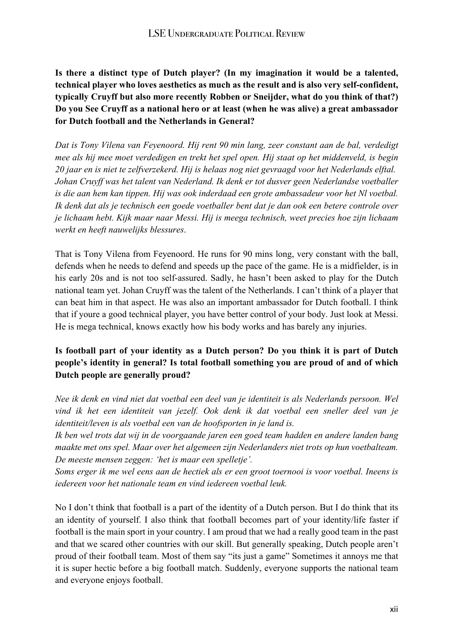**Is there a distinct type of Dutch player? (In my imagination it would be a talented, technical player who loves aesthetics as much as the result and is also very self-confident, typically Cruyff but also more recently Robben or Sneijder, what do you think of that?) Do you See Cruyff as a national hero or at least (when he was alive) a great ambassador for Dutch football and the Netherlands in General?**

*Dat is Tony Vilena van Feyenoord. Hij rent 90 min lang, zeer constant aan de bal, verdedigt mee als hij mee moet verdedigen en trekt het spel open. Hij staat op het middenveld, is begin 20 jaar en is niet te zelfverzekerd. Hij is helaas nog niet gevraagd voor het Nederlands elftal. Johan Cruyff was het talent van Nederland. Ik denk er tot dusver geen Nederlandse voetballer is die aan hem kan tippen. Hij was ook inderdaad een grote ambassadeur voor het Nl voetbal. Ik denk dat als je technisch een goede voetballer bent dat je dan ook een betere controle over je lichaam hebt. Kijk maar naar Messi. Hij is meega technisch, weet precies hoe zijn lichaam werkt en heeft nauwelijks blessures*.

That is Tony Vilena from Feyenoord. He runs for 90 mins long, very constant with the ball, defends when he needs to defend and speeds up the pace of the game. He is a midfielder, is in his early 20s and is not too self-assured. Sadly, he hasn't been asked to play for the Dutch national team yet. Johan Cruyff was the talent of the Netherlands. I can't think of a player that can beat him in that aspect. He was also an important ambassador for Dutch football. I think that if youre a good technical player, you have better control of your body. Just look at Messi. He is mega technical, knows exactly how his body works and has barely any injuries.

#### **Is football part of your identity as a Dutch person? Do you think it is part of Dutch people's identity in general? Is total football something you are proud of and of which Dutch people are generally proud?**

*Nee ik denk en vind niet dat voetbal een deel van je identiteit is als Nederlands persoon. Wel vind ik het een identiteit van jezelf. Ook denk ik dat voetbal een sneller deel van je identiteit/leven is als voetbal een van de hoofsporten in je land is.* 

*Ik ben wel trots dat wij in de voorgaande jaren een goed team hadden en andere landen bang maakte met ons spel. Maar over het algemeen zijn Nederlanders niet trots op hun voetbalteam. De meeste mensen zeggen: 'het is maar een spelletje'.*

Soms erger ik me wel eens aan de hectiek als er een groot toernooi is voor voetbal. Ineens is *iedereen voor het nationale team en vind iedereen voetbal leuk.*

No I don't think that football is a part of the identity of a Dutch person. But I do think that its an identity of yourself. I also think that football becomes part of your identity/life faster if football is the main sport in your country. I am proud that we had a really good team in the past and that we scared other countries with our skill. But generally speaking, Dutch people aren't proud of their football team. Most of them say "its just a game" Sometimes it annoys me that it is super hectic before a big football match. Suddenly, everyone supports the national team and everyone enjoys football.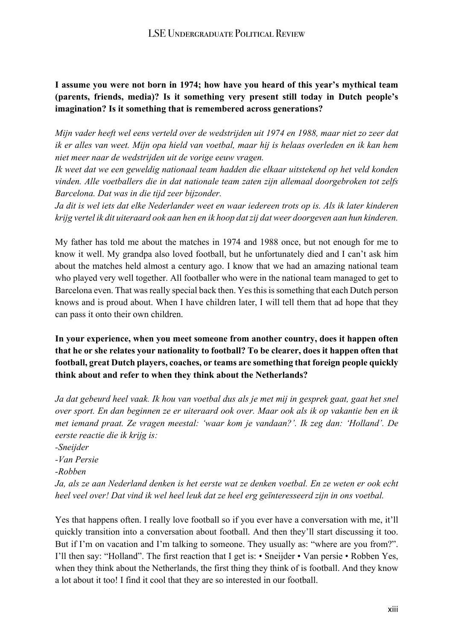#### **I assume you were not born in 1974; how have you heard of this year's mythical team (parents, friends, media)? Is it something very present still today in Dutch people's imagination? Is it something that is remembered across generations?**

*Mijn vader heeft wel eens verteld over de wedstrijden uit 1974 en 1988, maar niet zo zeer dat* ik er alles van weet. Mijn opa hield van voetbal, maar hij is helaas overleden en ik kan hem *niet meer naar de wedstrijden uit de vorige eeuw vragen.*

*Ik weet dat we een geweldig nationaal team hadden die elkaar uitstekend op het veld konden vinden. Alle voetballers die in dat nationale team zaten zijn allemaal doorgebroken tot zelfs Barcelona. Dat was in die tijd zeer bijzonder.*

Ja dit is wel iets dat elke Nederlander weet en waar iedereen trots op is. Als ik later kinderen *krijg vertel ik dit uiteraard ook aan hen en ik hoop datzij dat weer doorgeven aan hun kinderen.*

My father has told me about the matches in 1974 and 1988 once, but not enough for me to know it well. My grandpa also loved football, but he unfortunately died and I can't ask him about the matches held almost a century ago. I know that we had an amazing national team who played very well together. All footballer who were in the national team managed to get to Barcelona even. That was really special back then. Yes this is something that each Dutch person knows and is proud about. When I have children later, I will tell them that ad hope that they can pass it onto their own children.

**In your experience, when you meet someone from another country, does it happen often that he or she relates your nationality to football? To be clearer, does it happen often that football, great Dutch players, coaches, or teams are something that foreign people quickly think about and refer to when they think about the Netherlands?**

Ja dat gebeurd heel vaak. Ik hou van voetbal dus als je met mij in gesprek gaat, gaat het snel *over sport. En dan beginnen ze er uiteraard ook over. Maar ook als ik op vakantie ben en ik met iemand praat. Ze vragen meestal: 'waar kom je vandaan?'. Ik zeg dan: 'Holland'. De eerste reactie die ik krijg is:*

Ja, als ze aan Nederland denken is het eerste wat ze denken voetbal. En ze weten er ook echt *heel veel over! Dat vind ik wel heel leuk dat ze heel erg geïnteresseerd zijn in ons voetbal.*

Yes that happens often. I really love football so if you ever have a conversation with me, it'll quickly transition into a conversation about football. And then they'll start discussing it too. But if I'm on vacation and I'm talking to someone. They usually as: "where are you from?". I'll then say: "Holland". The first reaction that I get is: • Sneijder • Van persie • Robben Yes, when they think about the Netherlands, the first thing they think of is football. And they know a lot about it too! I find it cool that they are so interested in our football.

*<sup>-</sup>Sneijder*

*<sup>-</sup>Van Persie*

*<sup>-</sup>Robben*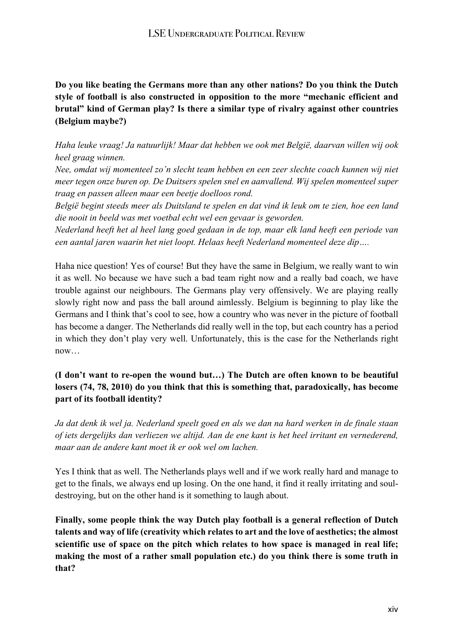**Do you like beating the Germans more than any other nations? Do you think the Dutch style of football is also constructed in opposition to the more "mechanic efficient and brutal" kind of German play? Is there a similar type of rivalry against other countries (Belgium maybe?)**

*Haha leuke vraag! Ja natuurlijk! Maar dat hebben we ook met België, daarvan willen wij ook heel graag winnen.*

*Nee, omdat wij momenteel zo'n slecht team hebben en een zeer slechte coach kunnen wij niet meer tegen onze buren op. De Duitsers spelen snel en aanvallend. Wij spelen momenteel super traag en passen alleen maar een beetje doelloos rond.*

België begint steeds meer als Duitsland te spelen en dat vind ik leuk om te zien, hoe een land *die nooit in beeld was met voetbal echt wel een gevaar is geworden.*

*Nederland heeft het al heel lang goed gedaan in de top, maar elk land heeft een periode van een aantal jaren waarin het niet loopt. Helaas heeft Nederland momenteel deze dip….*

Haha nice question! Yes of course! But they have the same in Belgium, we really want to win it as well. No because we have such a bad team right now and a really bad coach, we have trouble against our neighbours. The Germans play very offensively. We are playing really slowly right now and pass the ball around aimlessly. Belgium is beginning to play like the Germans and I think that's cool to see, how a country who was never in the picture of football has become a danger. The Netherlands did really well in the top, but each country has a period in which they don't play very well. Unfortunately, this is the case for the Netherlands right now…

## **(I don't want to re-open the wound but…) The Dutch are often known to be beautiful losers (74, 78, 2010) do you think that this is something that, paradoxically, has become part of its football identity?**

Ja dat denk ik wel ja. Nederland speelt goed en als we dan na hard werken in de finale staan *of iets dergelijks dan verliezen we altijd. Aan de ene kant is het heel irritant en vernederend, maar aan de andere kant moet ik er ook wel om lachen.*

Yes I think that as well. The Netherlands plays well and if we work really hard and manage to get to the finals, we always end up losing. On the one hand, it find it really irritating and souldestroying, but on the other hand is it something to laugh about.

**Finally, some people think the way Dutch play football is a general reflection of Dutch talents and way of life (creativity which relates to art and the love of aesthetics; the almost scientific use of space on the pitch which relates to how space is managed in real life; making the most of a rather small population etc.) do you think there is some truth in that?**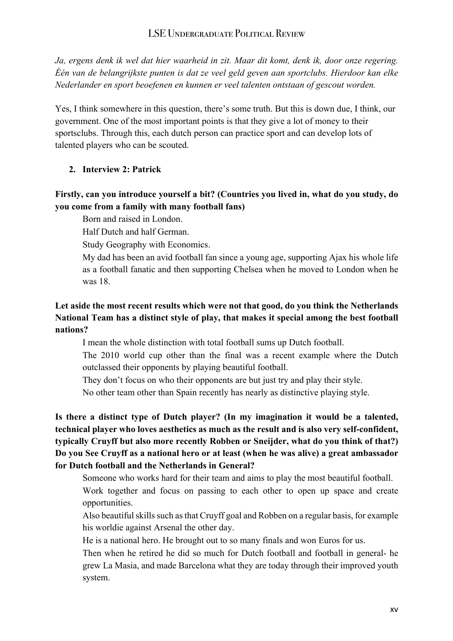*Ja, ergens denk ik wel dat hier waarheid in zit. Maar dit komt, denk ik, door onze regering. Één van de belangrijkste punten is dat ze veel geld geven aan sportclubs. Hierdoor kan elke Nederlander en sport beoefenen en kunnen er veel talenten ontstaan of gescout worden.*

Yes, I think somewhere in this question, there's some truth. But this is down due, I think, our government. One of the most important points is that they give a lot of money to their sportsclubs. Through this, each dutch person can practice sport and can develop lots of talented players who can be scouted.

#### **2. Interview 2: Patrick**

#### **Firstly, can you introduce yourself a bit? (Countries you lived in, what do you study, do you come from a family with many football fans)**

Born and raised in London.

Half Dutch and half German.

Study Geography with Economics.

 My dad has been an avid football fan since a young age, supporting Ajax his whole life as a football fanatic and then supporting Chelsea when he moved to London when he was 18.

#### **Let aside the most recent results which were not that good, do you think the Netherlands National Team has a distinct style of play, that makes it special among the best football nations?**

I mean the whole distinction with total football sums up Dutch football.

 The 2010 world cup other than the final was a recent example where the Dutch outclassed their opponents by playing beautiful football.

They don't focus on who their opponents are but just try and play their style.

No other team other than Spain recently has nearly as distinctive playing style.

**Is there a distinct type of Dutch player? (In my imagination it would be a talented, technical player who loves aesthetics as much as the result and is also very self-confident, typically Cruyff but also more recently Robben or Sneijder, what do you think of that?) Do you See Cruyff as a national hero or at least (when he was alive) a great ambassador for Dutch football and the Netherlands in General?**

 Someone who works hard for their team and aims to play the most beautiful football. Work together and focus on passing to each other to open up space and create opportunities.

Also beautiful skills such as that Cruyff goal and Robben on a regular basis, for example his worldie against Arsenal the other day.

He is a national hero. He brought out to so many finals and won Euros for us.

 Then when he retired he did so much for Dutch football and football in general- he grew La Masia, and made Barcelona what they are today through their improved youth system.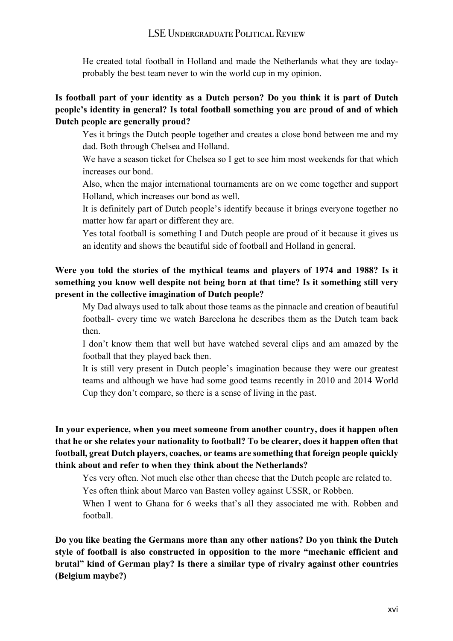He created total football in Holland and made the Netherlands what they are todayprobably the best team never to win the world cup in my opinion.

#### **Is football part of your identity as a Dutch person? Do you think it is part of Dutch people's identity in general? Is total football something you are proud of and of which Dutch people are generally proud?**

 Yes it brings the Dutch people together and creates a close bond between me and my dad. Both through Chelsea and Holland.

 We have a season ticket for Chelsea so I get to see him most weekends for that which increases our bond.

 Also, when the major international tournaments are on we come together and support Holland, which increases our bond as well.

 It is definitely part of Dutch people's identify because it brings everyone together no matter how far apart or different they are.

 Yes total football is something I and Dutch people are proud of it because it gives us an identity and shows the beautiful side of football and Holland in general.

### **Were you told the stories of the mythical teams and players of 1974 and 1988? Is it something you know well despite not being born at that time? Is it something still very present in the collective imagination of Dutch people?**

 My Dad always used to talk about those teams as the pinnacle and creation of beautiful football- every time we watch Barcelona he describes them as the Dutch team back then.

 I don't know them that well but have watched several clips and am amazed by the football that they played back then.

 It is still very present in Dutch people's imagination because they were our greatest teams and although we have had some good teams recently in 2010 and 2014 World Cup they don't compare, so there is a sense of living in the past.

#### **In your experience, when you meet someone from another country, does it happen often that he or she relates your nationality to football? To be clearer, does it happen often that football, great Dutch players, coaches, or teams are something that foreign people quickly think about and refer to when they think about the Netherlands?**

Yes very often. Not much else other than cheese that the Dutch people are related to.

Yes often think about Marco van Basten volley against USSR, or Robben.

 When I went to Ghana for 6 weeks that's all they associated me with. Robben and football.

**Do you like beating the Germans more than any other nations? Do you think the Dutch style of football is also constructed in opposition to the more "mechanic efficient and brutal" kind of German play? Is there a similar type of rivalry against other countries (Belgium maybe?)**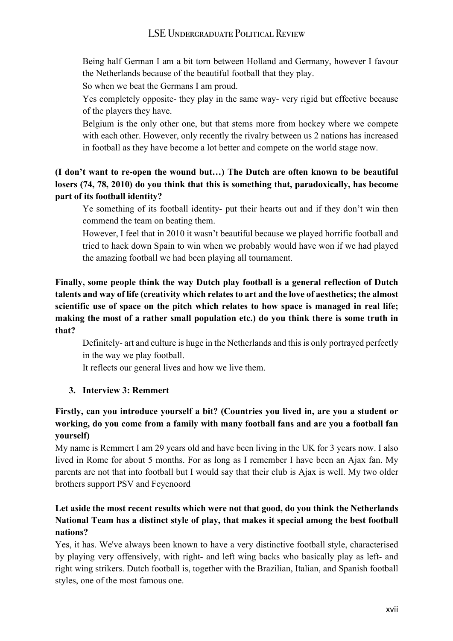Being half German I am a bit torn between Holland and Germany, however I favour the Netherlands because of the beautiful football that they play.

So when we beat the Germans I am proud.

 Yes completely opposite- they play in the same way- very rigid but effective because of the players they have.

 Belgium is the only other one, but that stems more from hockey where we compete with each other. However, only recently the rivalry between us 2 nations has increased in football as they have become a lot better and compete on the world stage now.

**(I don't want to re-open the wound but…) The Dutch are often known to be beautiful losers (74, 78, 2010) do you think that this is something that, paradoxically, has become part of its football identity?**

 Ye something of its football identity- put their hearts out and if they don't win then commend the team on beating them.

 However, I feel that in 2010 it wasn't beautiful because we played horrific football and tried to hack down Spain to win when we probably would have won if we had played the amazing football we had been playing all tournament.

## **Finally, some people think the way Dutch play football is a general reflection of Dutch talents and way of life (creativity which relates to art and the love of aesthetics; the almost scientific use of space on the pitch which relates to how space is managed in real life; making the most of a rather small population etc.) do you think there is some truth in that?**

 Definitely- art and culture is huge in the Netherlands and this is only portrayed perfectly in the way we play football.

It reflects our general lives and how we live them.

## **3. Interview 3: Remmert**

## **Firstly, can you introduce yourself a bit? (Countries you lived in, are you a student or working, do you come from a family with many football fans and are you a football fan yourself)**

My name is Remmert I am 29 years old and have been living in the UK for 3 years now. I also lived in Rome for about 5 months. For as long as I remember I have been an Ajax fan. My parents are not that into football but I would say that their club is Ajax is well. My two older brothers support PSV and Feyenoord

## **Let aside the most recent results which were not that good, do you think the Netherlands National Team has a distinct style of play, that makes it special among the best football nations?**

Yes, it has. We've always been known to have a very distinctive football style, characterised by playing very offensively, with right- and left wing backs who basically play as left- and right wing strikers. Dutch football is, together with the Brazilian, Italian, and Spanish football styles, one of the most famous one.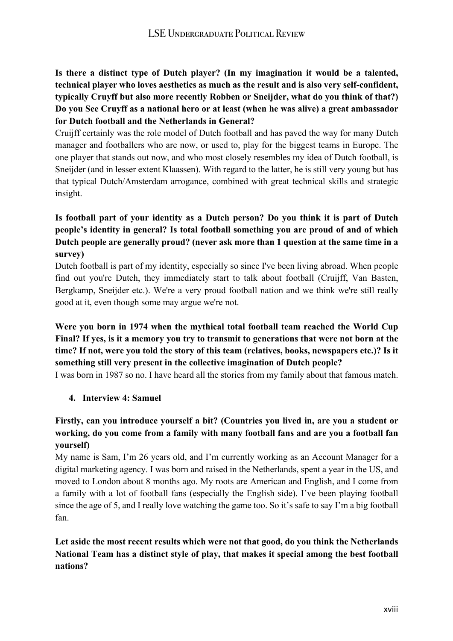**Is there a distinct type of Dutch player? (In my imagination it would be a talented, technical player who loves aesthetics as much as the result and is also very self-confident, typically Cruyff but also more recently Robben or Sneijder, what do you think of that?) Do you See Cruyff as a national hero or at least (when he was alive) a great ambassador for Dutch football and the Netherlands in General?**

Cruijff certainly was the role model of Dutch football and has paved the way for many Dutch manager and footballers who are now, or used to, play for the biggest teams in Europe. The one player that stands out now, and who most closely resembles my idea of Dutch football, is Sneijder (and in lesser extent Klaassen). With regard to the latter, he is still very young but has that typical Dutch/Amsterdam arrogance, combined with great technical skills and strategic insight.

## **Is football part of your identity as a Dutch person? Do you think it is part of Dutch people's identity in general? Is total football something you are proud of and of which Dutch people are generally proud? (never ask more than 1 question at the same time in a survey)**

Dutch football is part of my identity, especially so since I've been living abroad. When people find out you're Dutch, they immediately start to talk about football (Cruijff, Van Basten, Bergkamp, Sneijder etc.). We're a very proud football nation and we think we're still really good at it, even though some may argue we're not.

## **Were you born in 1974 when the mythical total football team reached the World Cup Final? If yes, is it a memory you try to transmit to generations that were not born at the time? If not, were you told the story of this team (relatives, books, newspapers etc.)? Is it something still very present in the collective imagination of Dutch people?**

I was born in 1987 so no. I have heard all the stories from my family about that famous match.

#### **4. Interview 4: Samuel**

#### **Firstly, can you introduce yourself a bit? (Countries you lived in, are you a student or working, do you come from a family with many football fans and are you a football fan yourself)**

My name is Sam, I'm 26 years old, and I'm currently working as an Account Manager for a digital marketing agency. I was born and raised in the Netherlands, spent a year in the US, and moved to London about 8 months ago. My roots are American and English, and I come from a family with a lot of football fans (especially the English side). I've been playing football since the age of 5, and I really love watching the game too. So it's safe to say I'm a big football fan.

## **Let aside the most recent results which were not that good, do you think the Netherlands National Team has a distinct style of play, that makes it special among the best football nations?**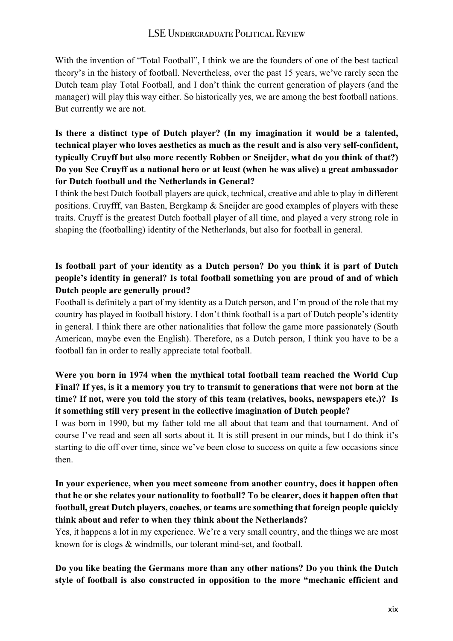With the invention of "Total Football", I think we are the founders of one of the best tactical theory's in the history of football. Nevertheless, over the past 15 years, we've rarely seen the Dutch team play Total Football, and I don't think the current generation of players (and the manager) will play this way either. So historically yes, we are among the best football nations. But currently we are not.

## **Is there a distinct type of Dutch player? (In my imagination it would be a talented, technical player who loves aesthetics as much as the result and is also very self-confident, typically Cruyff but also more recently Robben or Sneijder, what do you think of that?) Do you See Cruyff as a national hero or at least (when he was alive) a great ambassador for Dutch football and the Netherlands in General?**

I think the best Dutch football players are quick, technical, creative and able to play in different positions. Cruyfff, van Basten, Bergkamp & Sneijder are good examples of players with these traits. Cruyff is the greatest Dutch football player of all time, and played a very strong role in shaping the (footballing) identity of the Netherlands, but also for football in general.

## **Is football part of your identity as a Dutch person? Do you think it is part of Dutch people's identity in general? Is total football something you are proud of and of which Dutch people are generally proud?**

Football is definitely a part of my identity as a Dutch person, and I'm proud of the role that my country has played in football history. I don't think football is a part of Dutch people's identity in general. I think there are other nationalities that follow the game more passionately (South American, maybe even the English). Therefore, as a Dutch person, I think you have to be a football fan in order to really appreciate total football.

#### **Were you born in 1974 when the mythical total football team reached the World Cup Final? If yes, is it a memory you try to transmit to generations that were not born at the time? If not, were you told the story of this team (relatives, books, newspapers etc.)? Is it something still very present in the collective imagination of Dutch people?**

I was born in 1990, but my father told me all about that team and that tournament. And of course I've read and seen all sorts about it. It is still present in our minds, but I do think it's starting to die off over time, since we've been close to success on quite a few occasions since then.

#### **In your experience, when you meet someone from another country, does it happen often that he or she relates your nationality to football? To be clearer, does it happen often that football, great Dutch players, coaches, or teams are something that foreign people quickly think about and refer to when they think about the Netherlands?**

Yes, it happens a lot in my experience. We're a very small country, and the things we are most known for is clogs & windmills, our tolerant mind-set, and football.

**Do you like beating the Germans more than any other nations? Do you think the Dutch style of football is also constructed in opposition to the more "mechanic efficient and**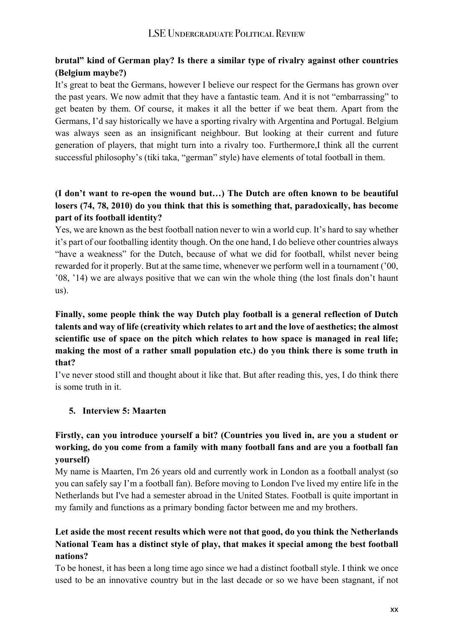## **brutal" kind of German play? Is there a similar type of rivalry against other countries (Belgium maybe?)**

It's great to beat the Germans, however I believe our respect for the Germans has grown over the past years. We now admit that they have a fantastic team. And it is not "embarrassing" to get beaten by them. Of course, it makes it all the better if we beat them. Apart from the Germans, I'd say historically we have a sporting rivalry with Argentina and Portugal. Belgium was always seen as an insignificant neighbour. But looking at their current and future generation of players, that might turn into a rivalry too. Furthermore,I think all the current successful philosophy's (tiki taka, "german" style) have elements of total football in them.

#### **(I don't want to re-open the wound but…) The Dutch are often known to be beautiful losers (74, 78, 2010) do you think that this is something that, paradoxically, has become part of its football identity?**

Yes, we are known as the best football nation never to win a world cup. It's hard to say whether it's part of our footballing identity though. On the one hand, I do believe other countries always "have a weakness" for the Dutch, because of what we did for football, whilst never being rewarded for it properly. But at the same time, whenever we perform well in a tournament ('00, '08, '14) we are always positive that we can win the whole thing (the lost finals don't haunt us).

## **Finally, some people think the way Dutch play football is a general reflection of Dutch talents and way of life (creativity which relates to art and the love of aesthetics; the almost scientific use of space on the pitch which relates to how space is managed in real life; making the most of a rather small population etc.) do you think there is some truth in that?**

I've never stood still and thought about it like that. But after reading this, yes, I do think there is some truth in it.

#### **5. Interview 5: Maarten**

#### **Firstly, can you introduce yourself a bit? (Countries you lived in, are you a student or working, do you come from a family with many football fans and are you a football fan yourself)**

My name is Maarten, I'm 26 years old and currently work in London as a football analyst (so you can safely say I'm a football fan). Before moving to London I've lived my entire life in the Netherlands but I've had a semester abroad in the United States. Football is quite important in my family and functions as a primary bonding factor between me and my brothers.

#### **Let aside the most recent results which were not that good, do you think the Netherlands National Team has a distinct style of play, that makes it special among the best football nations?**

To be honest, it has been a long time ago since we had a distinct football style. I think we once used to be an innovative country but in the last decade or so we have been stagnant, if not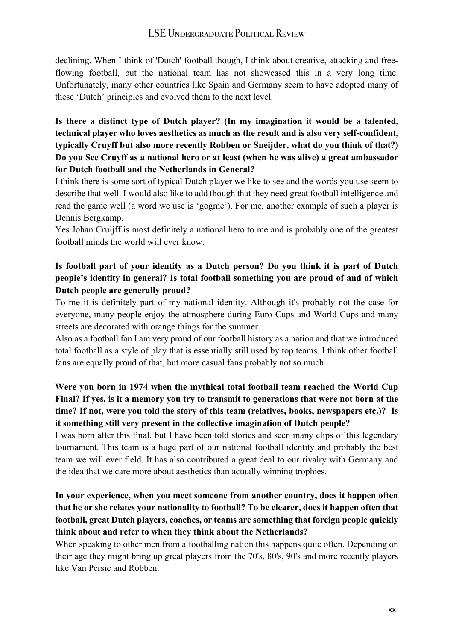declining. When I think of 'Dutch' football though, I think about creative, attacking and freeflowing football, but the national team has not showcased this in a very long time. Unfortunately, many other countries like Spain and Germany seem to have adopted many of these 'Dutch' principles and evolved them to the next level.

**Is there a distinct type of Dutch player? (In my imagination it would be a talented, technical player who loves aesthetics as much as the result and is also very self-confident, typically Cruyff but also more recently Robben or Sneijder, what do you think of that?) Do you See Cruyff as a national hero or at least (when he was alive) a great ambassador for Dutch football and the Netherlands in General?**

I think there is some sort of typical Dutch player we like to see and the words you use seem to describe that well. I would also like to add though that they need great football intelligence and read the game well (a word we use is 'gogme'). For me, another example of such a player is Dennis Bergkamp.

Yes Johan Cruijff is most definitely a national hero to me and is probably one of the greatest football minds the world will ever know.

## **Is football part of your identity as a Dutch person? Do you think it is part of Dutch people's identity in general? Is total football something you are proud of and of which Dutch people are generally proud?**

To me it is definitely part of my national identity. Although it's probably not the case for everyone, many people enjoy the atmosphere during Euro Cups and World Cups and many streets are decorated with orange things for the summer.

Also as a football fan I am very proud of our football history as a nation and that we introduced total football as a style of play that is essentially still used by top teams. I think other football fans are equally proud of that, but more casual fans probably not so much.

## **Were you born in 1974 when the mythical total football team reached the World Cup Final? If yes, is it a memory you try to transmit to generations that were not born at the time? If not, were you told the story of this team (relatives, books, newspapers etc.)? Is it something still very present in the collective imagination of Dutch people?**

I was born after this final, but I have been told stories and seen many clips of this legendary tournament. This team is a huge part of our national football identity and probably the best team we will ever field. It has also contributed a great deal to our rivalry with Germany and the idea that we care more about aesthetics than actually winning trophies.

## **In your experience, when you meet someone from another country, does it happen often that he or she relates your nationality to football? To be clearer, does it happen often that football, great Dutch players, coaches, or teams are something that foreign people quickly think about and refer to when they think about the Netherlands?**

When speaking to other men from a footballing nation this happens quite often. Depending on their age they might bring up great players from the 70's, 80's, 90's and more recently players like Van Persie and Robben.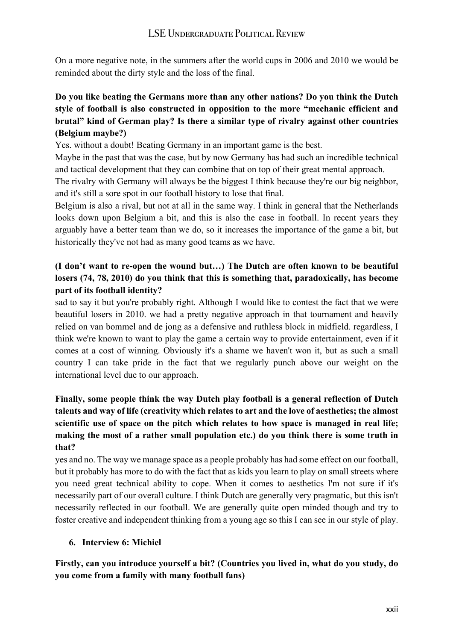On a more negative note, in the summers after the world cups in 2006 and 2010 we would be reminded about the dirty style and the loss of the final.

## **Do you like beating the Germans more than any other nations? Do you think the Dutch style of football is also constructed in opposition to the more "mechanic efficient and brutal" kind of German play? Is there a similar type of rivalry against other countries (Belgium maybe?)**

Yes. without a doubt! Beating Germany in an important game is the best.

Maybe in the past that was the case, but by now Germany has had such an incredible technical and tactical development that they can combine that on top of their great mental approach.

The rivalry with Germany will always be the biggest I think because they're our big neighbor, and it's still a sore spot in our football history to lose that final.

Belgium is also a rival, but not at all in the same way. I think in general that the Netherlands looks down upon Belgium a bit, and this is also the case in football. In recent years they arguably have a better team than we do, so it increases the importance of the game a bit, but historically they've not had as many good teams as we have.

## **(I don't want to re-open the wound but…) The Dutch are often known to be beautiful losers (74, 78, 2010) do you think that this is something that, paradoxically, has become part of its football identity?**

sad to say it but you're probably right. Although I would like to contest the fact that we were beautiful losers in 2010. we had a pretty negative approach in that tournament and heavily relied on van bommel and de jong as a defensive and ruthless block in midfield. regardless, I think we're known to want to play the game a certain way to provide entertainment, even if it comes at a cost of winning. Obviously it's a shame we haven't won it, but as such a small country I can take pride in the fact that we regularly punch above our weight on the international level due to our approach.

## **Finally, some people think the way Dutch play football is a general reflection of Dutch talents and way of life (creativity which relates to art and the love of aesthetics; the almost scientific use of space on the pitch which relates to how space is managed in real life; making the most of a rather small population etc.) do you think there is some truth in that?**

yes and no. The way we manage space as a people probably has had some effect on our football, but it probably has more to do with the fact that as kids you learn to play on small streets where you need great technical ability to cope. When it comes to aesthetics I'm not sure if it's necessarily part of our overall culture. I think Dutch are generally very pragmatic, but this isn't necessarily reflected in our football. We are generally quite open minded though and try to foster creative and independent thinking from a young age so this I can see in our style of play.

#### **6. Interview 6: Michiel**

### **Firstly, can you introduce yourself a bit? (Countries you lived in, what do you study, do you come from a family with many football fans)**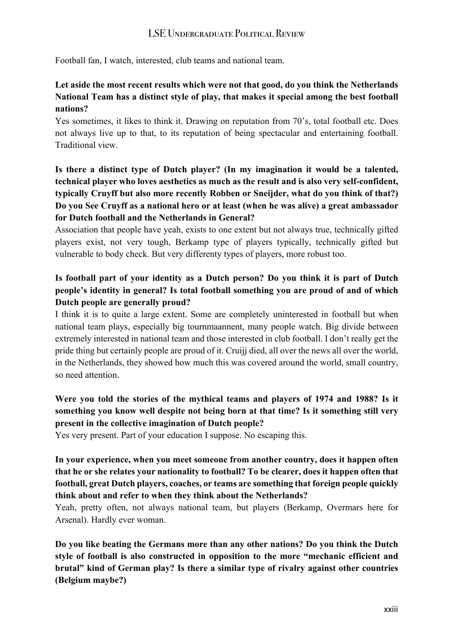Football fan, I watch, interested, club teams and national team.

#### **Let aside the most recent results which were not that good, do you think the Netherlands National Team has a distinct style of play, that makes it special among the best football nations?**

Yes sometimes, it likes to think it. Drawing on reputation from 70's, total football etc. Does not always live up to that, to its reputation of being spectacular and entertaining football. Traditional view.

**Is there a distinct type of Dutch player? (In my imagination it would be a talented, technical player who loves aesthetics as much as the result and is also very self-confident, typically Cruyff but also more recently Robben or Sneijder, what do you think of that?) Do you See Cruyff as a national hero or at least (when he was alive) a great ambassador for Dutch football and the Netherlands in General?**

Association that people have yeah, exists to one extent but not always true, technically gifted players exist, not very tough, Berkamp type of players typically, technically gifted but vulnerable to body check. But very differenty types of players, more robust too.

## **Is football part of your identity as a Dutch person? Do you think it is part of Dutch people's identity in general? Is total football something you are proud of and of which Dutch people are generally proud?**

I think it is to quite a large extent. Some are completely uninterested in football but when national team plays, especially big tournmaannent, many people watch. Big divide between extremely interested in national team and those interested in club football. I don't really get the pride thing but certainly people are proud of it. Cruijj died, all over the news all over the world, in the Netherlands, they showed how much this was covered around the world, small country, so need attention.

## **Were you told the stories of the mythical teams and players of 1974 and 1988? Is it something you know well despite not being born at that time? Is it something still very present in the collective imagination of Dutch people?**

Yes very present. Part of your education I suppose. No escaping this.

### **In your experience, when you meet someone from another country, does it happen often that he or she relates your nationality to football? To be clearer, does it happen often that football, great Dutch players, coaches, or teams are something that foreign people quickly think about and refer to when they think about the Netherlands?**

Yeah, pretty often, not always national team, but players (Berkamp, Overmars here for Arsenal). Hardly ever woman.

**Do you like beating the Germans more than any other nations? Do you think the Dutch style of football is also constructed in opposition to the more "mechanic efficient and brutal" kind of German play? Is there a similar type of rivalry against other countries (Belgium maybe?)**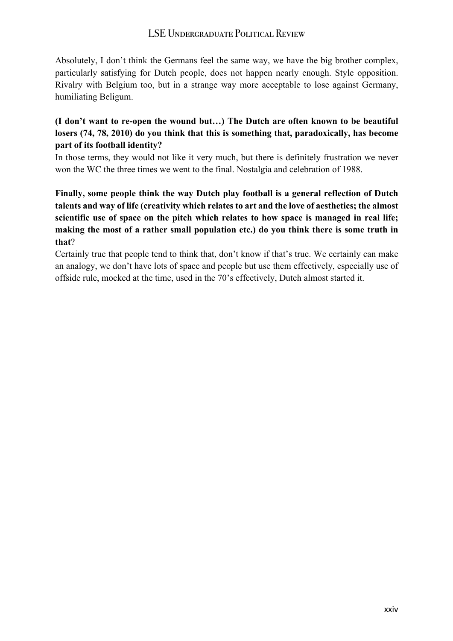Absolutely, I don't think the Germans feel the same way, we have the big brother complex, particularly satisfying for Dutch people, does not happen nearly enough. Style opposition. Rivalry with Belgium too, but in a strange way more acceptable to lose against Germany, humiliating Beligum.

#### **(I don't want to re-open the wound but…) The Dutch are often known to be beautiful losers (74, 78, 2010) do you think that this is something that, paradoxically, has become part of its football identity?**

In those terms, they would not like it very much, but there is definitely frustration we never won the WC the three times we went to the final. Nostalgia and celebration of 1988.

**Finally, some people think the way Dutch play football is a general reflection of Dutch talents and way of life (creativity which relates to art and the love of aesthetics; the almost scientific use of space on the pitch which relates to how space is managed in real life; making the most of a rather small population etc.) do you think there is some truth in that**?

Certainly true that people tend to think that, don't know if that's true. We certainly can make an analogy, we don't have lots of space and people but use them effectively, especially use of offside rule, mocked at the time, used in the 70's effectively, Dutch almost started it.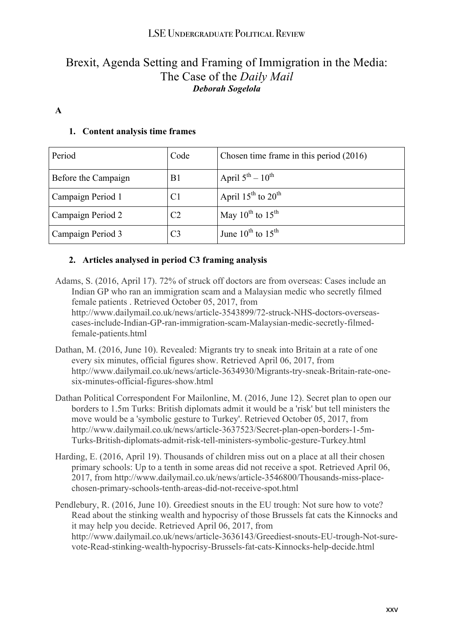## Brexit, Agenda Setting and Framing of Immigration in the Media: The Case of the *Daily Mail Deborah Sogelola*

#### **A**

#### **1. Content analysis time frames**

| Period              | Code           | Chosen time frame in this period (2016)   |
|---------------------|----------------|-------------------------------------------|
| Before the Campaign | B <sub>1</sub> | April $5^{\text{th}} - 10^{\text{th}}$    |
| Campaign Period 1   | C <sub>1</sub> | April $15^{th}$ to $20^{th}$              |
| Campaign Period 2   | C <sub>2</sub> | May $10^{th}$ to $15^{th}$                |
| Campaign Period 3   | C <sub>3</sub> | June $10^{\text{th}}$ to $15^{\text{th}}$ |

#### **2. Articles analysed in period C3 framing analysis**

Adams, S. (2016, April 17). 72% of struck off doctors are from overseas: Cases include an Indian GP who ran an immigration scam and a Malaysian medic who secretly filmed female patients . Retrieved October 05, 2017, from http://www.dailymail.co.uk/news/article-3543899/72-struck-NHS-doctors-overseascases-include-Indian-GP-ran-immigration-scam-Malaysian-medic-secretly-filmedfemale-patients.html

- Dathan, M. (2016, June 10). Revealed: Migrants try to sneak into Britain at a rate of one every six minutes, official figures show. Retrieved April 06, 2017, from http://www.dailymail.co.uk/news/article-3634930/Migrants-try-sneak-Britain-rate-onesix-minutes-official-figures-show.html
- Dathan Political Correspondent For Mailonline, M. (2016, June 12). Secret plan to open our borders to 1.5m Turks: British diplomats admit it would be a 'risk' but tell ministers the move would be a 'symbolic gesture to Turkey'. Retrieved October 05, 2017, from http://www.dailymail.co.uk/news/article-3637523/Secret-plan-open-borders-1-5m-Turks-British-diplomats-admit-risk-tell-ministers-symbolic-gesture-Turkey.html
- Harding, E. (2016, April 19). Thousands of children miss out on a place at all their chosen primary schools: Up to a tenth in some areas did not receive a spot. Retrieved April 06, 2017, from http://www.dailymail.co.uk/news/article-3546800/Thousands-miss-placechosen-primary-schools-tenth-areas-did-not-receive-spot.html
- Pendlebury, R. (2016, June 10). Greediest snouts in the EU trough: Not sure how to vote? Read about the stinking wealth and hypocrisy of those Brussels fat cats the Kinnocks and it may help you decide. Retrieved April 06, 2017, from http://www.dailymail.co.uk/news/article-3636143/Greediest-snouts-EU-trough-Not-surevote-Read-stinking-wealth-hypocrisy-Brussels-fat-cats-Kinnocks-help-decide.html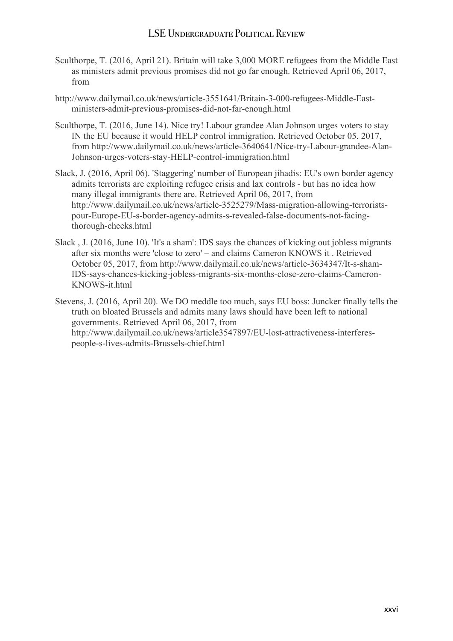- Sculthorpe, T. (2016, April 21). Britain will take 3,000 MORE refugees from the Middle East as ministers admit previous promises did not go far enough. Retrieved April 06, 2017, from
- http://www.dailymail.co.uk/news/article-3551641/Britain-3-000-refugees-Middle-Eastministers-admit-previous-promises-did-not-far-enough.html
- Sculthorpe, T. (2016, June 14). Nice try! Labour grandee Alan Johnson urges voters to stay IN the EU because it would HELP control immigration. Retrieved October 05, 2017, from http://www.dailymail.co.uk/news/article-3640641/Nice-try-Labour-grandee-Alan-Johnson-urges-voters-stay-HELP-control-immigration.html
- Slack, J. (2016, April 06). 'Staggering' number of European jihadis: EU's own border agency admits terrorists are exploiting refugee crisis and lax controls - but has no idea how many illegal immigrants there are. Retrieved April 06, 2017, from http://www.dailymail.co.uk/news/article-3525279/Mass-migration-allowing-terroristspour-Europe-EU-s-border-agency-admits-s-revealed-false-documents-not-facingthorough-checks.html
- Slack , J. (2016, June 10). 'It's a sham': IDS says the chances of kicking out jobless migrants after six months were 'close to zero' – and claims Cameron KNOWS it . Retrieved October 05, 2017, from http://www.dailymail.co.uk/news/article-3634347/It-s-sham-IDS-says-chances-kicking-jobless-migrants-six-months-close-zero-claims-Cameron-KNOWS-it.html
- Stevens, J. (2016, April 20). We DO meddle too much, says EU boss: Juncker finally tells the truth on bloated Brussels and admits many laws should have been left to national governments. Retrieved April 06, 2017, from http://www.dailymail.co.uk/news/article3547897/EU-lost-attractiveness-interferespeople-s-lives-admits-Brussels-chief.html